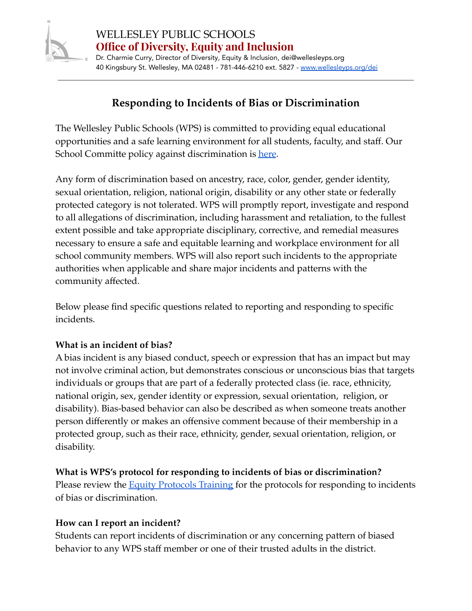

## **Responding to Incidents of Bias or Discrimination**

The Wellesley Public Schools (WPS) is committed to providing equal educational opportunities and a safe learning environment for all students, faculty, and staff. Our School Committe policy against discrimination is [here](https://z2policy.ctspublish.com/masc/browse/wellesleyset/wellesley/AC/z2Code_AC).

Any form of discrimination based on ancestry, race, color, gender, gender identity, sexual orientation, religion, national origin, disability or any other state or federally protected category is not tolerated. WPS will promptly report, investigate and respond to all allegations of discrimination, including harassment and retaliation, to the fullest extent possible and take appropriate disciplinary, corrective, and remedial measures necessary to ensure a safe and equitable learning and workplace environment for all school community members. WPS will also report such incidents to the appropriate authorities when applicable and share major incidents and patterns with the community affected.

Below please find specific questions related to reporting and responding to specific incidents.

#### **What is an incident of bias?**

A bias incident is any biased conduct, speech or expression that has an impact but may not involve criminal action, but demonstrates conscious or unconscious bias that targets individuals or groups that are part of a federally protected class (ie. race, ethnicity, national origin, sex, gender identity or expression, sexual orientation, religion, or disability). Bias-based behavior can also be described as when someone treats another person differently or makes an offensive comment because of their membership in a protected group, such as their race, ethnicity, gender, sexual orientation, religion, or disability.

#### **What is WPS's protocol for responding to incidents of bias or discrimination?**

Please review the **Equity [Protocols](https://docs.google.com/presentation/d/1BNqs3Z41FDc04LXJg9MflvYnZZp8RBQq6kLtddeiR2A/edit#slide=id.p7) Training** for the protocols for responding to incidents of bias or discrimination.

#### **How can I report an incident[?](https://www.newton.k12.ma.us/site/default.aspx?PageType=3&ModuleInstanceID=7470&ViewID=9fc4dc78-f943-4224-8465-6c780e58f4df&RenderLoc=0&FlexDataID=11090&PageID=3323)**

Students can report incidents of discrimination or any concerning pattern of biased behavior to any WPS staff member or one of their trusted adults in the district.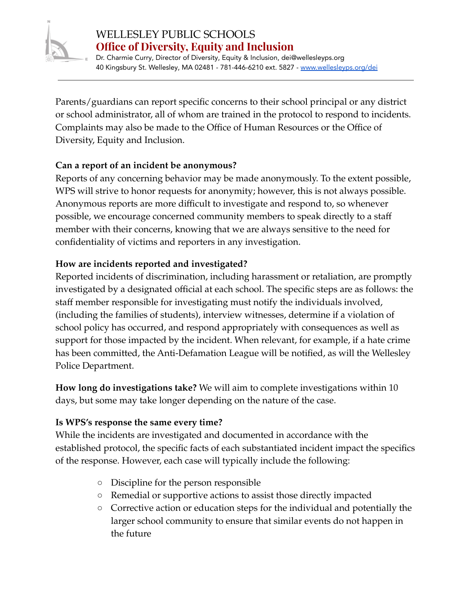

Dr. Charmie Curry, Director of Diversity, Equity & Inclusion, dei@wellesleyps.org 40 Kingsbury St. Wellesley, MA 02481 - 781-446-6210 ext. 5827 - [www.wellesleyps.org/dei](http://www.wellesleyps.org/dei)

Parents/guardians can report specific concerns to their school principal or any district or school administrator, all of whom are trained in the protocol to respond to incidents. Complaints may also be made to the Office of Human Resources or the Office of Diversity, Equity and Inclusion.

## **Can a report of an incident be anonymous?**

Reports of any concerning behavior may be made anonymously. To the extent possible, WPS will strive to honor requests for anonymity; however, this is not always possible. Anonymous reports are more difficult to investigate and respond to, so whenever possible, we encourage concerned community members to speak directly to a staff member with their concerns, knowing that we are always sensitive to the need for confidentiality of victims and reporters in any investigation.

## **How are incidents reported and investigated?**

Reported incidents of discrimination, including harassment or retaliation, are promptly investigated by a designated official at each school. The [s](https://www.newton.k12.ma.us/cms/lib/MA01907692/Centricity/Domain/68/Protocol_discrimination_harassment_december2019.pdf)pecific steps are as follows: the staff member responsible for investigating must notify the individuals involved, (including the families of students), interview witnesses, determine if a violation of school policy has occurred, and respond appropriately with consequences as well as support for those impacted by the incident. When relevant, for example, if a hate crime has been committed, the Anti-Defamation League will be notified, as will the Wellesley Police Department.

**How long do investigations take?** We will aim to complete investigations within 10 days, but some may take longer depending on the nature of the case.

### **Is WPS's response the same every time?**

While the incidents are investigated and documented in accordance with the established protocol, the specific facts of each substantiated incident impact the specifics of the response. However, each case will typically include the following:

- Discipline for the person responsible
- Remedial or supportive actions to assist those directly impacted
- Corrective action or education steps for the individual and potentially the larger school community to ensure that similar events do not happen in the future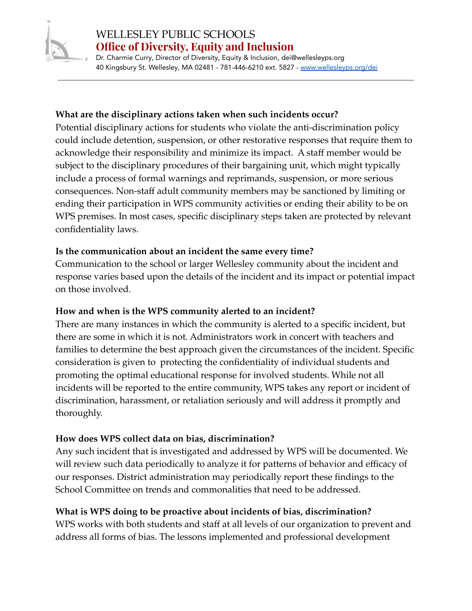

# WELLESLEY PUBLIC SCHOOLS **Office of Diversity, Equity and Inclusion**

Dr. Charmie Curry, Director of Diversity, Equity & Inclusion, dei@wellesleyps.org 40 Kingsbury St. Wellesley, MA 02481 - 781-446-6210 ext. 5827 - [www.wellesleyps.org/dei](http://www.wellesleyps.org/dei)

### **What are the disciplinary actions taken when such incidents occur?**

Potential disciplinary actions for students who violate the anti-discrimination policy could include detention, suspension, or other restorative responses that require them to acknowledge their responsibility and minimize its impact. A staff member would be subject to the disciplinary procedures of their bargaining unit, which might typically include a process of formal warnings and reprimands, suspension, or more serious consequences. Non-staff adult community members may be sanctioned by limiting or ending their participation in WPS community activities or ending their ability to be on WPS premises. In most cases, specific disciplinary steps taken are protected by relevant confidentiality laws.

### **Is the communication about an incident the same every time?**

Communication to the school or larger Wellesley community about the incident and response varies based upon the details of the incident and its impact or potential impact on those involved.

### **How and when is the WPS community alerted to an incident?**

There are many instances in which the community is alerted to a specific incident, but there are some in which it is not. Administrators work in concert with teachers and families to determine the best approach given the circumstances of the incident. Specific consideration is given to protecting the confidentiality of individual students and promoting the optimal educational response for involved students. While not all incidents will be reported to the entire community, WPS takes any report or incident of discrimination, harassment, or retaliation seriously and will address it promptly and thoroughly.

## **How does WPS collect data on bias, discrimination?**

Any such incident that is investigated and addressed by WPS will be documented. We will review such data periodically to analyze it for patterns of behavior and efficacy of our responses. District administration may periodically report these findings to the School Committee on trends and commonalities that need to be addressed.

## **What is WPS doing to be proactive about incidents of bias, discrimination?**

WPS works with both students and staff at all levels of our organization to prevent and address all forms of bias. The lessons implemented and professional development